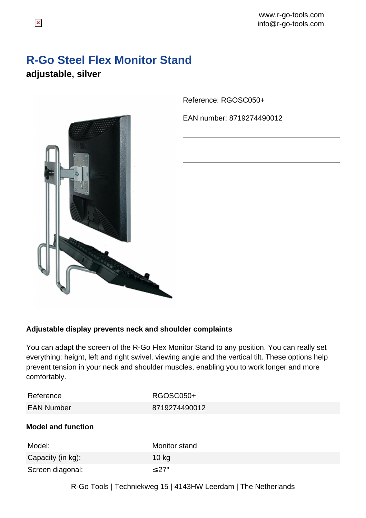www.r-go-tools.com info@r-go-tools.com

## **R-Go Steel Flex Monitor Stand adjustable, silver**



Reference: RGOSC050+

EAN number: 8719274490012

## **Adjustable display prevents neck and shoulder complaints**

You can adapt the screen of the R-Go Flex Monitor Stand to any position. You can really set everything: height, left and right swivel, viewing angle and the vertical tilt. These options help prevent tension in your neck and shoulder muscles, enabling you to work longer and more comfortably.

| Reference  | RGOSC050+     |
|------------|---------------|
| EAN Number | 8719274490012 |

## **Model and function**

| Model:            | Monitor stand |
|-------------------|---------------|
| Capacity (in kg): | 10 kg         |
| Screen diagonal:  | $\leq$ 27"    |

R-Go Tools | Techniekweg 15 | 4143HW Leerdam | The Netherlands